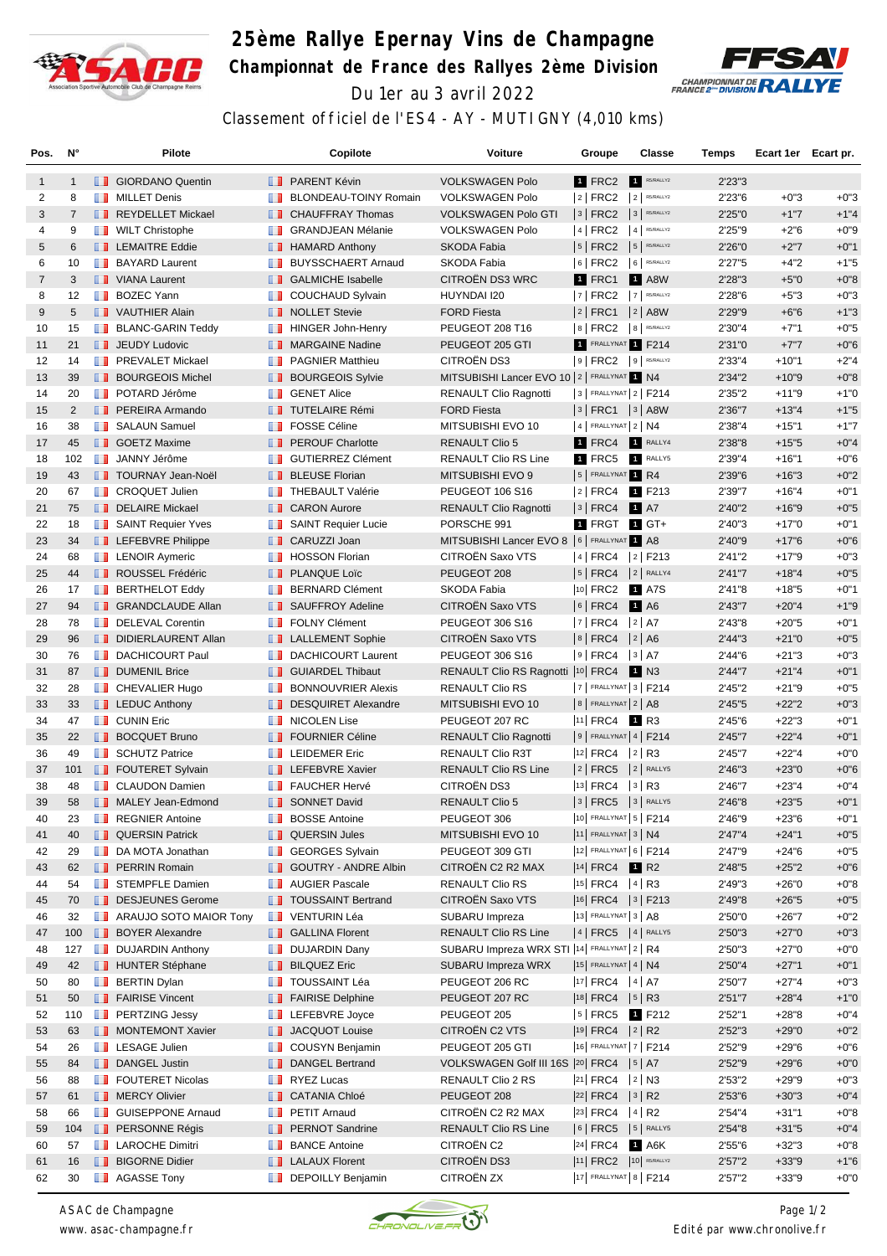

## **25ème Rallye Epernay Vins de Champagne Championnat de France des Rallyes 2ème Division** Du 1er au 3 avril 2022



Classement officiel de l'ES4 - AY - MUTIGNY (4,010 kms)

| Pos.           | $N^{\circ}$    | <b>Pilote</b>                 |              | Copilote                     | Voiture                                        | Groupe                     | Classe                  | Temps   | Ecart 1er Ecart pr. |        |
|----------------|----------------|-------------------------------|--------------|------------------------------|------------------------------------------------|----------------------------|-------------------------|---------|---------------------|--------|
| $\mathbf{1}$   | $\mathbf{1}$   | <b>B</b> GIORDANO Quentin     |              | <b>T</b> PARENT Kévin        | <b>VOLKSWAGEN Polo</b>                         | 1 FRC2                     | R5/RALLY2               | 2'23"3  |                     |        |
| 2              | 8              | <b>NILLET</b> Denis           | m            | <b>BLONDEAU-TOINY Romain</b> | <b>VOLKSWAGEN Polo</b>                         | $ 2 $ FRC2                 | $2$ R5/RALLY2           | 2'23"6  | $+0"3$              | $+0"3$ |
| 3              | $\overline{7}$ | REYDELLET Mickael             | ш            | <b>CHAUFFRAY Thomas</b>      | <b>VOLKSWAGEN Polo GTI</b>                     | $ 3 $ FRC2                 | $3$ R5/RALLY2           | 2'25"0  | $+1"7$              | $+1"4$ |
| 4              | 9              | <b>WILT Christophe</b>        | m            | <b>GRANDJEAN Mélanie</b>     | <b>VOLKSWAGEN Polo</b>                         | $ 4 $ FRC2                 | $4$ R5/RALLY2           | 2'25"9  | $+2"6$              | $+0"9$ |
| 5              | 6              | <b>LEMAITRE Eddie</b>         | ш            | <b>HAMARD Anthony</b>        | <b>SKODA Fabia</b>                             | $ 5 $ FRC2                 | 5 R5/RALLY2             | 2'26"0  | $+2"7$              | $+0"1$ |
| 6              | 10             | <b>BAYARD Laurent</b>         | m            | <b>BUYSSCHAERT Arnaud</b>    | SKODA Fabia                                    | $ 6 $ FRC2                 | 6 RS/RALLY2             | 2'27"5  | $+4"2$              | $+1"5$ |
| $\overline{7}$ | 3              | VIANA Laurent                 |              | <b>SALMICHE Isabelle</b>     | <b>CITROEN DS3 WRC</b>                         | 1 FRC1                     | <b>1</b> A8W            | 2'28"3  | $+5"0$              | $+0"8$ |
| 8              | 12             | <b>BOZEC Yann</b>             | ш            | <b>COUCHAUD Sylvain</b>      | HUYNDAI I20                                    | $ 7 $ FRC2                 | 7 R5/RALLY2             | 2'28"6  | $+5"3$              | $+0"3$ |
| 9              | 5              | VAUTHIER Alain                |              | <b>NOLLET</b> Stevie         | <b>FORD Fiesta</b>                             | $ 2 $ FRC1                 | $ 2 $ A8W               | 2'29"9  | $+6"6$              | $+1"3$ |
| 10             | 15             | <b>BLANC-GARIN Teddy</b>      | m            | <b>HINGER John-Henry</b>     | PEUGEOT 208 T16                                | 8   FRC2   8   R5/RALLY2   |                         | 2'30"4  | $+7"1$              | $+0"5$ |
| 11             | 21             | <b>JEUDY Ludovic</b>          | ш            | <b>MARGAINE Nadine</b>       | PEUGEOT 205 GTI                                | 1 FRALLYNAT 1 F214         |                         | 2'31"0  | $+7"7$              | $+0"6$ |
| 12             | 14             | <b>FREVALET Mickael</b>       | ш            | <b>PAGNIER Matthieu</b>      | <b>CITROËN DS3</b>                             | $ 9 $ FRC2                 | 9 R5/RALLY2             | 2'33"4  | $+10"1$             | $+2"4$ |
| 13             | 39             | <b>BOURGEOIS Michel</b>       | ш            | <b>BOURGEOIS Sylvie</b>      | MITSUBISHI Lancer EVO 10   2   FRALLYNAT 1 N4  |                            |                         | 2'34"2  | $+10"9$             | $+0"8$ |
| 14             | 20             | <b>DE POTARD Jérôme</b>       | ш            | <b>GENET Alice</b>           | <b>RENAULT Clio Ragnotti</b>                   | 3 FRALLYNAT 2 F214         |                         | 2'35"2  | $+11"9$             | $+1"0$ |
| 15             | $\overline{2}$ | <b>PEREIRA Armando</b>        |              | <b>TUTELAIRE Rémi</b>        | <b>FORD Fiesta</b>                             | $ 3 $ FRC1 $ 3 $ A8W       |                         | 2'36"7  | $+13"4$             | $+1"5$ |
| 16             | 38             | <b>B</b> SALAUN Samuel        | ш            | <b>FOSSE Céline</b>          | MITSUBISHI EVO 10                              | 4 FRALLYNAT 2 N4           |                         | 2'38"4  | $+15"1$             | $+1"7$ |
| 17             | 45             | <b>SOETZ Maxime</b>           | ш            | <b>PEROUF Charlotte</b>      | <b>RENAULT Clio 5</b>                          | 1 FRC4                     | RALLY4                  | 2'38"8  | $+15"5$             | $+0"4$ |
| 18             | 102            | <b>JANNY Jérôme</b>           | ш            | <b>GUTIERREZ Clément</b>     | <b>RENAULT Clio RS Line</b>                    | 1 FRC5 1 RALLY5            |                         | 2'39"4  | $+16"1$             | $+0"6$ |
| 19             | 43             | <b>TOURNAY Jean-Noël</b>      | H.           | <b>BLEUSE Florian</b>        | MITSUBISHI EVO 9                               | 5 FRALLYNAT 1 R4           |                         | 2'39"6  | $+16"3$             | $+0"2$ |
| 20             | 67             | <b>CROQUET Julien</b>         |              | <b>THEBAULT Valérie</b>      | PEUGEOT 106 S16                                | $ 2 $ FRC4                 | 1 F213                  | 2'39"7  | $+16"4$             | $+0"1$ |
| 21             | 75             | DELAIRE Mickael               |              | <b>CARON Aurore</b>          | <b>RENAULT Clio Ragnotti</b>                   | $ 3 $ FRC4                 | 1 A7                    | 2'40"2  | $+16"9$             | $+0"5$ |
| 22             | 18             | SAINT Requier Yves            | m            | <b>SAINT Requier Lucie</b>   | PORSCHE 991                                    | 1 FRGT                     | $1$ GT+                 | 2'40"3  | $+17"0$             | $+0"1$ |
| 23             | 34             | <b>LEFEBVRE Philippe</b>      | ш            | CARUZZI Joan                 | MITSUBISHI Lancer EVO 8   6   FRALLYNAT 1 A8   |                            |                         | 2'40"9  | $+17"6$             | $+0"6$ |
| 24             | 68             | <b>LENOIR Aymeric</b>         | <b>THE R</b> | <b>HOSSON Florian</b>        | CITROËN Saxo VTS                               | 4   FRC4   2   F213        |                         | 2'41"2  | $+17"9$             | $+0"3$ |
| 25             | 44             | <b>ROUSSEL Frédéric</b>       | Ш            | <b>PLANQUE Loïc</b>          | PEUGEOT 208                                    | 5   FRC4                   | $2$ RALLY4              | 2'41''7 | $+18"4$             | $+0"5$ |
| 26             | 17             | <b>BERTHELOT Eddy</b>         | ш            | <b>BERNARD Clément</b>       | SKODA Fabia                                    | $ 10 $ FRC2                | 1 A7S                   | 2'41"8  | $+18"5$             | $+0"1$ |
| 27             | 94             | <b>SRANDCLAUDE Allan</b>      |              | SAUFFROY Adeline             | <b>CITROEN Saxo VTS</b>                        | $6$ FRC4                   | <b>1</b> A6             | 2'43"7  | $+20"4$             | $+1"9$ |
| 28             | 78             | DELEVAL Corentin              | m            | <b>FOLNY Clément</b>         | PEUGEOT 306 S16                                | $ 7 $ FRC4                 | $ 2 $ A7                | 2'43"8  | $+20"5$             | $+0"1$ |
| 29             | 96             | DIDIERLAURENT Allan           | <b>H.H.</b>  | <b>LALLEMENT Sophie</b>      | CITROEN Saxo VTS                               | $ 8 $ FRC4                 | 2 A6                    | 2'44''3 | $+21"0$             | $+0"5$ |
| 30             | 76             | <b>DACHICOURT Paul</b>        | ш            | <b>DACHICOURT Laurent</b>    | PEUGEOT 306 S16                                | $ 9 $ FRC4 $ 3 $ A7        |                         | 2'44"6  | $+21"3$             | $+0"3$ |
| 31             | 87             | <b>DUMENIL Brice</b>          | ш            | <b>GUIARDEL Thibaut</b>      | RENAULT Clio RS Ragnotti  10 FRC4              |                            | N3                      | 2'44"7  | $+21"4$             | $+0"1$ |
| 32             | 28             | <b>CHEVALIER Hugo</b>         | ш            | <b>BONNOUVRIER Alexis</b>    | <b>RENAULT Clio RS</b>                         | $ 7 $ FRALLYNAT $ 3 $ F214 |                         | 2'45"2  | $+21"9$             | $+0"5$ |
| 33             | 33             | <b>LEDUC Anthony</b>          | <b>H. H.</b> | <b>DESQUIRET Alexandre</b>   | MITSUBISHI EVO 10                              | $8$ FRALLYNAT $2$ A8       |                         | 2'45"5  | $+22"2$             | $+0"3$ |
| 34             | 47             | <b>B</b> CUNIN Eric           | m            | <b>NICOLEN Lise</b>          | PEUGEOT 207 RC                                 | $ 11 $ FRC4                | 1 R3                    | 2'45"6  | $+22"3$             | $+0"1$ |
| 35             | 22             | <b>BOCQUET Bruno</b>          | . .          | <b>FOURNIER Céline</b>       | <b>RENAULT Clio Ragnotti</b>                   | $ 9 $ Frallynat 4   F214   |                         | 2'45"7  | $+22"4$             | $+0"1$ |
| 36             | 49             | <b>B</b> SCHUTZ Patrice       |              | <b>EDEMER Eric</b>           | RENAULT Clio R3T                               | <sup>12</sup> FRC4         | $ 2 $ R3                | 2'45"7  | $+22"4$             | $+0"0$ |
| 37             | 101            | <b>FOUTERET Sylvain</b>       |              | <b>I</b> LEFEBVRE Xavier     | <b>RENAULT Clio RS Line</b>                    | 2   FRC5                   | $ 2 $ RALLY5            | 2'46"3  | $+23"0$             | $+0"6$ |
| 38             | 48             | <b>CLAUDON Damien</b>         | m            | <b>FAUCHER Hervé</b>         | CITROËN DS3                                    | 13 FRC4                    | $ 3 $ R3                | 2'46"7  | $+23"4$             | $+0"4$ |
| 39             | 58             | MALEY Jean-Edmond             |              | <b>B</b> SONNET David        | <b>RENAULT Clio 5</b>                          | $3$ FRC5                   | 3 RALLY5                | 2'46"8  | $+23"5$             | $+0"1$ |
| 40             | 23             | REGNIER Antoine               | ш            | <b>BOSSE Antoine</b>         | PEUGEOT 306                                    | 10 FRALLYNAT 5   F214      |                         | 2'46"9  | $+23"6$             | $+0"1$ |
| 41             | 40             | <b>QUERSIN Patrick</b>        |              | <b>QUERSIN Jules</b>         | MITSUBISHI EVO 10                              | $ 11 $ FRALLYNAT 3   N4    |                         | 2'47"4  | $+24"1$             | $+0"5$ |
| 42             | 29             | DA MOTA Jonathan              | ш            | <b>GEORGES Sylvain</b>       | PEUGEOT 309 GTI                                | 12 FRALLYNAT 6   F214      |                         | 2'47"9  | $+24"6$             | $+0"5$ |
| 43             | 62             | <b>PERRIN Romain</b>          |              | <b>GOUTRY - ANDRE Albin</b>  | CITROEN C2 R2 MAX                              | $ 14 $ FRC4                | <b>1</b> R <sub>2</sub> | 2'48"5  | $+25"2$             | $+0"6$ |
| 44             | 54             | STEMPFLE Damien               |              | <b>NET AUGIER Pascale</b>    | <b>RENAULT Clio RS</b>                         | $ 15 $ FRC4 $ 4 $ R3       |                         | 2'49"3  | $+26"0$             | $+0"8$ |
| 45             | 70             | DESJEUNES Gerome              |              | <b>TOUSSAINT Bertrand</b>    | CITROËN Saxo VTS                               | 16  FRC4   3   F213        |                         | 2'49"8  | $+26"5$             | $+0"5$ |
| 46             | 32             | <b>ARAUJO SOTO MAIOR Tony</b> | m            | <b>VENTURIN Léa</b>          | SUBARU Impreza                                 | 13 FRALLYNAT 3   A8        |                         | 2'50"0  | $+26"7$             | $+0"2$ |
| 47             | 100            | <b>BOYER Alexandre</b>        |              | <b>B</b> GALLINA Florent     | <b>RENAULT Clio RS Line</b>                    | $ 4 $ FRC5 $ 4 $ RALLY5    |                         | 2'50"3  | $+27"0$             | $+0"3$ |
| 48             | 127            | <b>DUJARDIN Anthony</b>       | n n          | <b>DUJARDIN Dany</b>         | SUBARU Impreza WRX STI  14  FRALLYNAT   2   R4 |                            |                         | 2'50"3  | $+27"0$             | $+0"0$ |
| 49             | 42             | <b>HUNTER Stéphane</b>        | ш            | <b>BILQUEZ Eric</b>          | SUBARU Impreza WRX                             | $ 15 $ FRALLYNAT 4   N4    |                         | 2'50"4  | $+27"1$             | $+0"1$ |
| 50             | 80             | <b>BERTIN Dylan</b>           |              | <b>TE TOUSSAINT Léa</b>      | PEUGEOT 206 RC                                 | $ 17 $ FRC4 $ 4 $ A7       |                         | 2'50"7  | $+27"4$             | $+0"3$ |
| 51             | 50             | FAIRISE Vincent               |              | <b>FAIRISE Delphine</b>      | PEUGEOT 207 RC                                 | 18  FRC4   5   R3          |                         | 2'51"7  | $+28"4$             | $+1"0$ |
| 52             | 110            | <b>PERTZING Jessy</b>         | ш            | LEFEBVRE Joyce               | PEUGEOT 205                                    | $ 5 $ FRC5 1 F212          |                         | 2'52"1  | $+28"8$             | $+0"4$ |
| 53             | 63             | <b>NONTEMONT Xavier</b>       |              | <b>JACQUOT Louise</b>        | CITROËN C2 VTS                                 | 19 FRC4 2 R2               |                         | 2'52"3  | $+29"0$             | $+0"2$ |
| 54             | 26             | <b>LESAGE Julien</b>          | ш            | COUSYN Benjamin              | PEUGEOT 205 GTI                                | 16 FRALLYNAT 7   F214      |                         | 2'52"9  | $+29"6$             | $+0"6$ |
| 55             | 84             | DANGEL Justin                 | ш            | <b>DANGEL Bertrand</b>       | VOLKSWAGEN Golf III 16S 20 FRC4   5   A7       |                            |                         | 2'52"9  | $+29"6$             | $+0"0$ |
| 56             | 88             | <b>FOUTERET Nicolas</b>       | H.           | RYEZ Lucas                   | RENAULT Clio 2 RS                              | $ 21 $ FRC4 $ 2 $ N3       |                         | 2'53"2  | $+29"9$             | $+0"3$ |
| 57             | 61             | <b>NERCY Olivier</b>          | ш            | <b>CATANIA Chloé</b>         | PEUGEOT 208                                    | $ 22 $ FRC4                | 3 R2                    | 2'53"6  | $+30"3$             | $+0"4$ |
| 58             | 66             | <b>B</b> GUISEPPONE Arnaud    | n n          | <b>PETIT Arnaud</b>          | CITROËN C2 R2 MAX                              | $ 23 $ FRC4 $ 4 $ R2       |                         | 2'54"4  | $+31"1$             | $+0"8$ |
| 59             | 104            | <b>PERSONNE Régis</b>         | ш            | <b>PERNOT Sandrine</b>       | RENAULT Clio RS Line                           | $ 6 $ FRC5 $ 5 $ RALLY5    |                         | 2'54"8  | $+31"5$             | $+0"4$ |
| 60             | 57             | <b>LAROCHE Dimitri</b>        | ш            | <b>BANCE Antoine</b>         | CITROËN C2                                     | $ 24 $ FRC4                | 1 A6K                   | 2'55"6  | $+32"3$             | $+0"8$ |
| 61             | 16             | <b>BIGORNE Didier</b>         |              | <b>LALAUX Florent</b>        | CITROËN DS3                                    | 11 FRC2 10 R5/RALLY2       |                         | 2'57"2  | $+33"9$             | $+1"6$ |
| 62             | 30             | <b>AGASSE Tony</b>            |              | <b>DEPOILLY Benjamin</b>     | CITROËN ZX                                     | 17 FRALLYNAT 8   F214      |                         | 2'57"2  | $+33"9$             | $+0"0$ |

*ASAC de Champagne www. asac-champagne.fr*